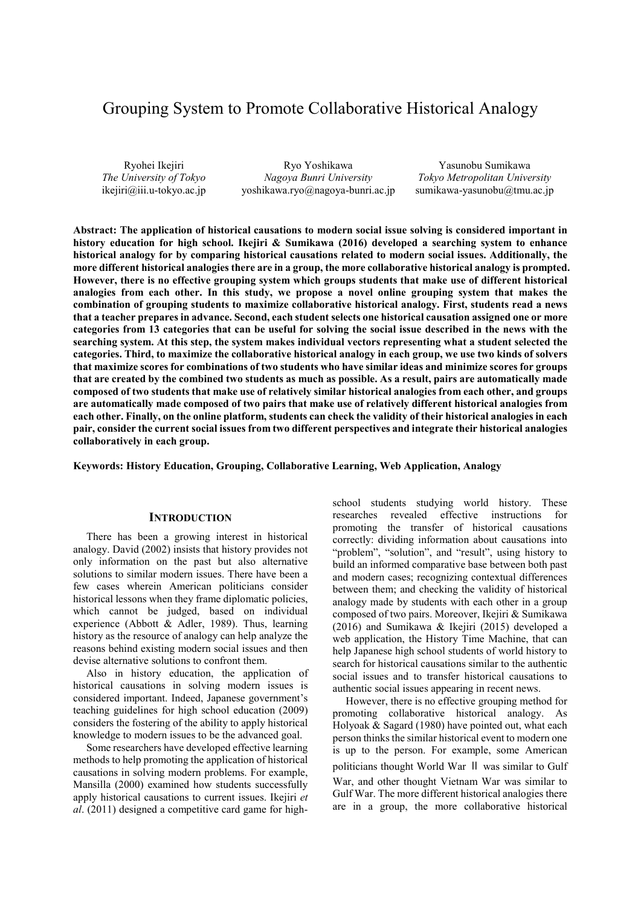# Grouping System to Promote Collaborative Historical Analogy

Ryohei Ikejiri *The University of Tokyo* ikejiri@iii.u-tokyo.ac.jp

Ryo Yoshikawa *Nagoya Bunri University* yoshikawa.ryo@nagoya-bunri.ac.jp

Yasunobu Sumikawa *Tokyo Metropolitan University* sumikawa-yasunobu@tmu.ac.jp

**Abstract: The application of historical causations to modern social issue solving is considered important in history education for high school. Ikejiri & Sumikawa (2016) developed a searching system to enhance historical analogy for by comparing historical causations related to modern social issues. Additionally, the more different historical analogies there are in a group, the more collaborative historical analogy is prompted. However, there is no effective grouping system which groups students that make use of different historical analogies from each other. In this study, we propose a novel online grouping system that makes the combination of grouping students to maximize collaborative historical analogy. First, students read a news that a teacher prepares in advance. Second, each student selects one historical causation assigned one or more categories from 13 categories that can be useful for solving the social issue described in the news with the searching system. At this step, the system makes individual vectors representing what a student selected the categories. Third, to maximize the collaborative historical analogy in each group, we use two kinds of solvers that maximize scores for combinations of two students who have similar ideas and minimize scores for groups that are created by the combined two students as much as possible. As a result, pairs are automatically made composed of two students that make use of relatively similar historical analogies from each other, and groups are automatically made composed of two pairs that make use of relatively different historical analogies from each other. Finally, on the online platform, students can check the validity of their historical analogies in each pair, consider the current social issues from two different perspectives and integrate their historical analogies collaboratively in each group.** 

**Keywords: History Education, Grouping, Collaborative Learning, Web Application, Analogy** 

## **INTRODUCTION**

There has been a growing interest in historical analogy. David (2002) insists that history provides not only information on the past but also alternative solutions to similar modern issues. There have been a few cases wherein American politicians consider historical lessons when they frame diplomatic policies, which cannot be judged, based on individual experience (Abbott & Adler, 1989). Thus, learning history as the resource of analogy can help analyze the reasons behind existing modern social issues and then devise alternative solutions to confront them.

Also in history education, the application of historical causations in solving modern issues is considered important. Indeed, Japanese government's teaching guidelines for high school education (2009) considers the fostering of the ability to apply historical knowledge to modern issues to be the advanced goal.

Some researchers have developed effective learning methods to help promoting the application of historical causations in solving modern problems. For example, Mansilla (2000) examined how students successfully apply historical causations to current issues. Ikejiri *et al*. (2011) designed a competitive card game for highschool students studying world history. These researches revealed effective instructions for promoting the transfer of historical causations correctly: dividing information about causations into "problem", "solution", and "result", using history to build an informed comparative base between both past and modern cases; recognizing contextual differences between them; and checking the validity of historical analogy made by students with each other in a group composed of two pairs. Moreover, Ikejiri & Sumikawa (2016) and Sumikawa & Ikejiri (2015) developed a web application, the History Time Machine, that can help Japanese high school students of world history to search for historical causations similar to the authentic social issues and to transfer historical causations to authentic social issues appearing in recent news.

However, there is no effective grouping method for promoting collaborative historical analogy. As Holyoak & Sagard (1980) have pointed out, what each person thinks the similar historical event to modern one is up to the person. For example, some American politicians thought World War Ⅱ was similar to Gulf War, and other thought Vietnam War was similar to Gulf War. The more different historical analogies there are in a group, the more collaborative historical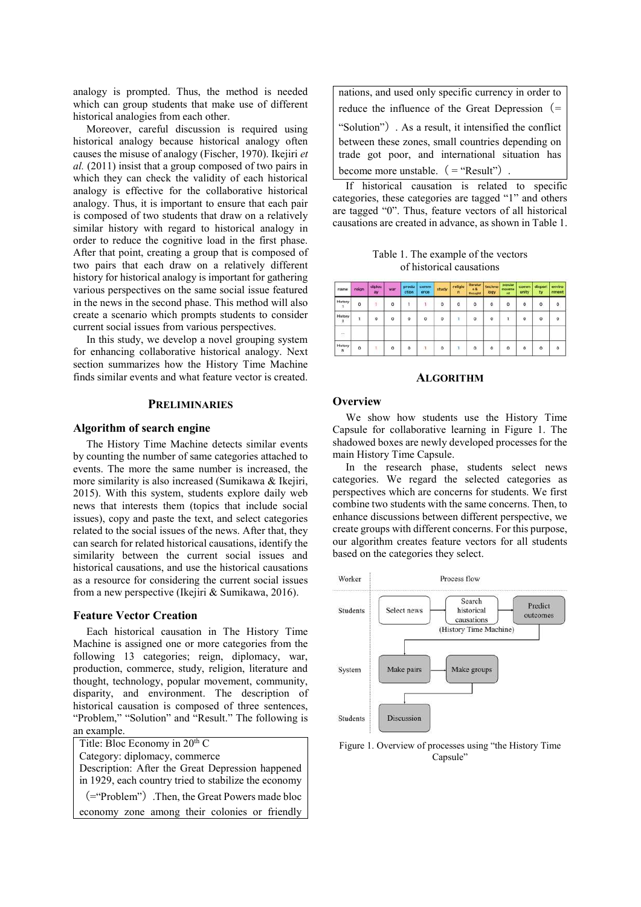analogy is prompted. Thus, the method is needed which can group students that make use of different historical analogies from each other.

Moreover, careful discussion is required using historical analogy because historical analogy often causes the misuse of analogy (Fischer, 1970). Ikejiri *et al.* (2011) insist that a group composed of two pairs in which they can check the validity of each historical analogy is effective for the collaborative historical analogy. Thus, it is important to ensure that each pair is composed of two students that draw on a relatively similar history with regard to historical analogy in order to reduce the cognitive load in the first phase. After that point, creating a group that is composed of two pairs that each draw on a relatively different history for historical analogy is important for gathering various perspectives on the same social issue featured in the news in the second phase. This method will also create a scenario which prompts students to consider current social issues from various perspectives.

In this study, we develop a novel grouping system for enhancing collaborative historical analogy. Next section summarizes how the History Time Machine finds similar events and what feature vector is created.

## **PRELIMINARIES**

#### **Algorithm of search engine**

The History Time Machine detects similar events by counting the number of same categories attached to events. The more the same number is increased, the more similarity is also increased (Sumikawa & Ikejiri, 2015). With this system, students explore daily web news that interests them (topics that include social issues), copy and paste the text, and select categories related to the social issues of the news. After that, they can search for related historical causations, identify the similarity between the current social issues and historical causations, and use the historical causations as a resource for considering the current social issues from a new perspective (Ikejiri & Sumikawa, 2016).

#### **Feature Vector Creation**

Each historical causation in The History Time Machine is assigned one or more categories from the following 13 categories; reign, diplomacy, war, production, commerce, study, religion, literature and thought, technology, popular movement, community, disparity, and environment. The description of historical causation is composed of three sentences, "Problem," "Solution" and "Result." The following is an example.

| Title: Bloc Economy in 20 <sup>th</sup> C            |
|------------------------------------------------------|
| Category: diplomacy, commerce                        |
| Description: After the Great Depression happened     |
| in 1929, each country tried to stabilize the economy |
| (="Problem") .Then, the Great Powers made bloc       |
| economy zone among their colonies or friendly        |

| nations, and used only specific currency in order to   |
|--------------------------------------------------------|
| reduce the influence of the Great Depression $(=$      |
| "Solution") . As a result, it intensified the conflict |
| between these zones, small countries depending on      |
| trade got poor, and international situation has        |
| become more unstable. $($ = "Result" $)$ .             |

If historical causation is related to specific categories, these categories are tagged "1" and others are tagged "0". Thus, feature vectors of all historical causations are created in advance, as shown in Table 1.

Table 1. The example of the vectors of historical causations

| name                      | reign   | diploc<br>ay | war     | produ<br>ction | comm<br>erce | study   | religio<br>n | <b>Itteratur</b><br>46<br><b>Unosaphit</b> | techno<br>logy           | popular<br>moveme<br><b>PAR</b> | comm<br>unity  | dispart<br>ty. | enviro<br>nment |
|---------------------------|---------|--------------|---------|----------------|--------------|---------|--------------|--------------------------------------------|--------------------------|---------------------------------|----------------|----------------|-----------------|
| History                   | $\circ$ |              | $\circ$ |                |              | o       | ö            | w<br>o<br>n v                              | $\ddot{\mathbf{o}}$<br>× | $\overline{0}$<br>w             | - 3<br>$\circ$ | $\overline{0}$ | $\ddot{\circ}$  |
| History<br>$\overline{z}$ |         | $\circ$      | $\circ$ | $\circ$        | $\circ$      | $\circ$ | $\mathbf{1}$ | $\circ$                                    | $\circ$                  | ٦                               | $\circ$        | o              | $\circ$         |
| U.                        |         |              |         |                |              |         |              |                                            |                          |                                 |                |                |                 |
| History<br>N              | 0       |              | $\circ$ | $\circ$        |              | $\circ$ | $\mathbf{I}$ | $\circ$                                    | $\circ$                  | 0                               | $\circ$        | ٥              | $\circ$         |

#### **ALGORITHM**

#### **Overview**

We show how students use the History Time Capsule for collaborative learning in Figure 1. The shadowed boxes are newly developed processes for the main History Time Capsule.

In the research phase, students select news categories. We regard the selected categories as perspectives which are concerns for students. We first combine two students with the same concerns. Then, to enhance discussions between different perspective, we create groups with different concerns. For this purpose, our algorithm creates feature vectors for all students based on the categories they select.



Figure 1. Overview of processes using "the History Time Capsule"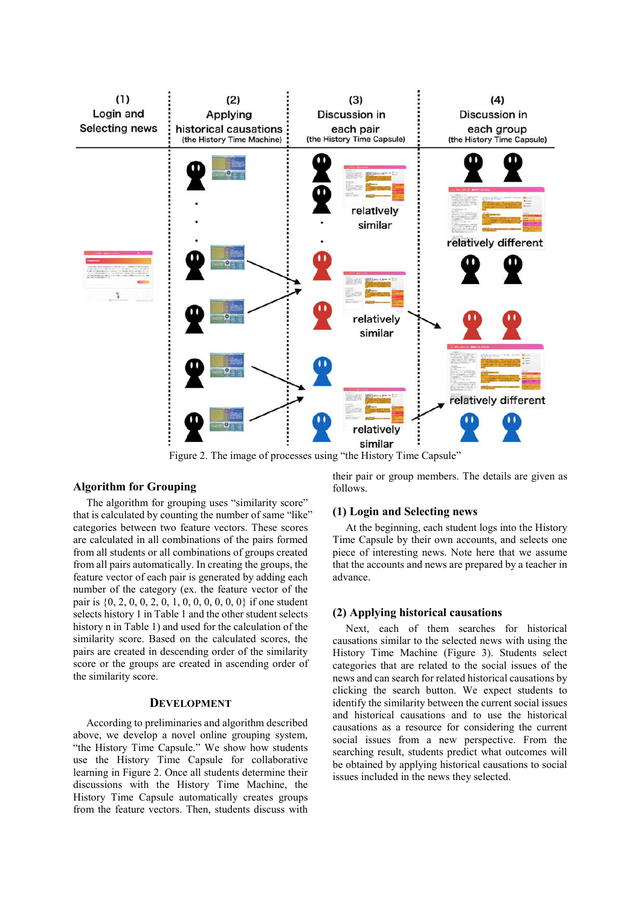

Figure 2. The image of processes using "the History Time Capsule"

#### **Algorithm for Grouping**

The algorithm for grouping uses "similarity score" that is calculated by counting the number of same "like" categories between two feature vectors. These scores are calculated in all combinations of the pairs formed from all students or all combinations of groups created from all pairs automatically. In creating the groups, the feature vector of each pair is generated by adding each number of the category (ex. the feature vector of the pair is {0, 2, 0, 0, 2, 0, 1, 0, 0, 0, 0, 0, 0} if one student selects history 1 in Table 1 and the other student selects history n in Table 1) and used for the calculation of the similarity score. Based on the calculated scores, the pairs are created in descending order of the similarity score or the groups are created in ascending order of the similarity score.

## **DEVELOPMENT**

According to preliminaries and algorithm described above, we develop a novel online grouping system, "the History Time Capsule." We show how students use the History Time Capsule for collaborative learning in Figure 2. Once all students determine their discussions with the History Time Machine, the History Time Capsule automatically creates groups from the feature vectors. Then, students discuss with their pair or group members. The details are given as follows.

## **(1) Login and Selecting news**

At the beginning, each student logs into the History Time Capsule by their own accounts, and selects one piece of interesting news. Note here that we assume that the accounts and news are prepared by a teacher in advance.

## **(2) Applying historical causations**

Next, each of them searches for historical causations similar to the selected news with using the History Time Machine (Figure 3). Students select categories that are related to the social issues of the news and can search for related historical causations by clicking the search button. We expect students to identify the similarity between the current social issues and historical causations and to use the historical causations as a resource for considering the current social issues from a new perspective. From the searching result, students predict what outcomes will be obtained by applying historical causations to social issues included in the news they selected.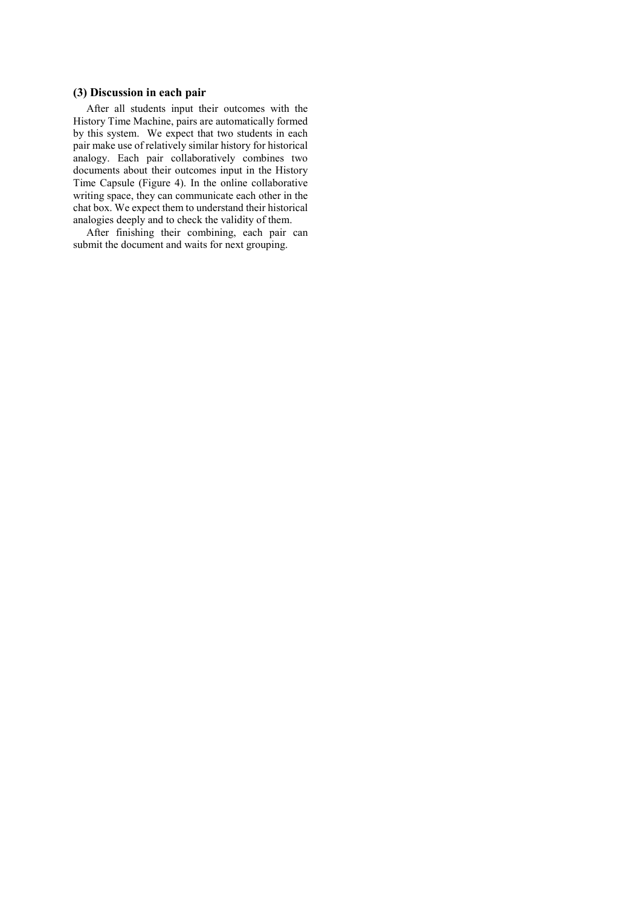## **(3) Discussion in each pair**

After all students input their outcomes with the History Time Machine, pairs are automatically formed by this system. We expect that two students in each pair make use of relatively similar history for historical analogy. Each pair collaboratively combines two documents about their outcomes input in the History Time Capsule (Figure 4). In the online collaborative writing space, they can communicate each other in the chat box. We expect them to understand their historical analogies deeply and to check the validity of them.

After finishing their combining, each pair can submit the document and waits for next grouping.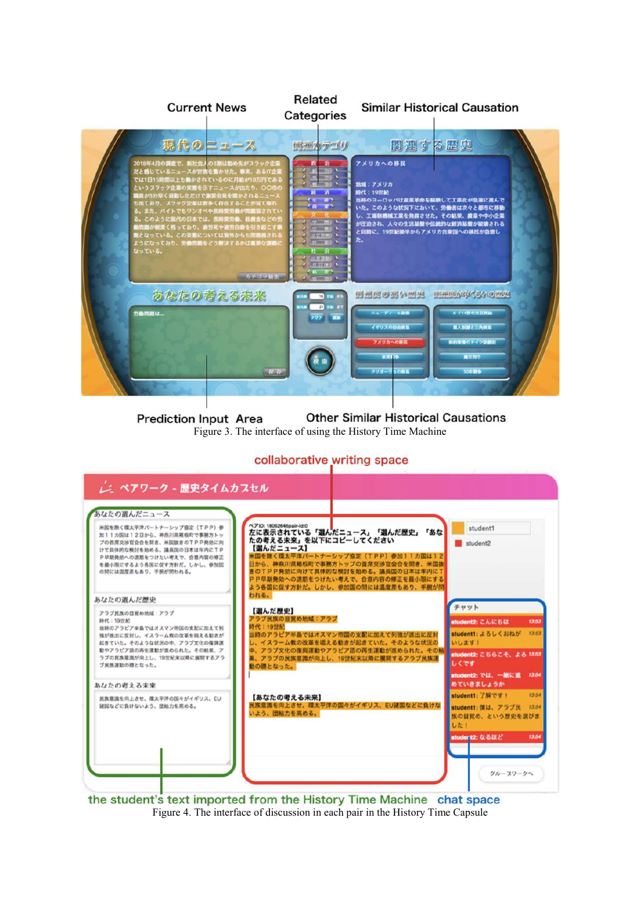

**Other Similar Historical Causations Prediction Input Area** Figure 3. The interface of using the History Time Machine

# collaborative writing space



the student's text imported from the History Time Machine chat space Figure 4. The interface of discussion in each pair in the History Time Capsule